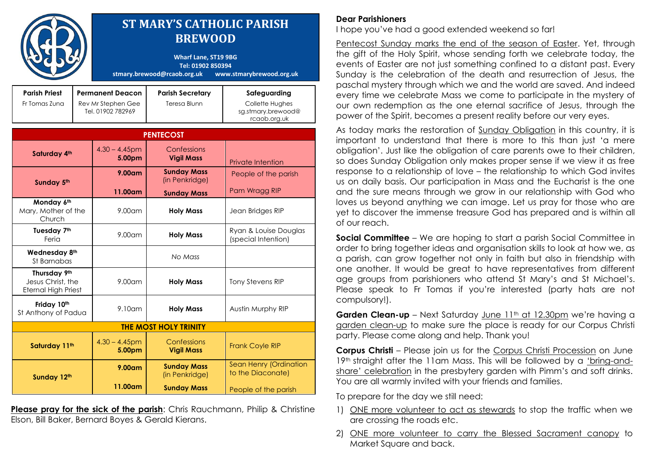|                                                                 |                                                                    | <b>ST MARY'S CATHOLIC PARISH</b><br><b>BREWOOD</b><br><b>Wharf Lane, ST19 9BG</b><br>Tel: 01902 850394<br>stmary.brewood@rcaob.org.uk<br>www.stmarybrewood.org.uk |                                         |                                                                       |
|-----------------------------------------------------------------|--------------------------------------------------------------------|-------------------------------------------------------------------------------------------------------------------------------------------------------------------|-----------------------------------------|-----------------------------------------------------------------------|
| <b>Parish Priest</b><br>Fr Tomas Zuna                           | <b>Permanent Deacon</b><br>Rev Mr Stephen Gee<br>Tel. 01902 782969 |                                                                                                                                                                   | <b>Parish Secretary</b><br>Teresa Blunn | Safeguarding<br>Collette Hughes<br>sg.stmary.brewood@<br>rcaob.org.uk |
| <b>PENTECOST</b>                                                |                                                                    |                                                                                                                                                                   |                                         |                                                                       |
| Saturday 4th                                                    |                                                                    | $4.30 - 4.45$ pm<br>5.00pm                                                                                                                                        | Confessions<br><b>Vigil Mass</b>        | <b>Private Intention</b>                                              |
| Sunday 5th                                                      |                                                                    | 9.00 <sub>cm</sub>                                                                                                                                                | <b>Sunday Mass</b><br>(in Penkridge)    | People of the parish                                                  |
|                                                                 |                                                                    | 11.00am                                                                                                                                                           | <b>Sunday Mass</b>                      | Pam Wragg RIP                                                         |
| Monday 6th<br>Mary, Mother of the<br>Church                     |                                                                    | 9.00 <sub>cm</sub>                                                                                                                                                | <b>Holy Mass</b>                        | Jean Bridges RIP                                                      |
| Tuesday 7th<br>Feria                                            |                                                                    | 9.00 <sub>cm</sub>                                                                                                                                                | <b>Holy Mass</b>                        | Ryan & Louise Douglas<br>(special Intention)                          |
| Wednesday 8th<br>St Barnabas                                    |                                                                    |                                                                                                                                                                   | No Mass                                 |                                                                       |
| Thursday 9th<br>Jesus Christ, the<br><b>Eternal High Priest</b> |                                                                    | $9.00$ am                                                                                                                                                         | <b>Holy Mass</b>                        | <b>Tony Stevens RIP</b>                                               |
| Friday 10th<br>St Anthony of Padua                              |                                                                    | $9.10$ am                                                                                                                                                         | <b>Holy Mass</b>                        | Austin Murphy RIP                                                     |
| <b>THE MOST HOLY TRINITY</b>                                    |                                                                    |                                                                                                                                                                   |                                         |                                                                       |
| Saturday 11th                                                   |                                                                    | $4.30 - 4.45$ pm<br>5.00pm                                                                                                                                        | Confessions<br><b>Vigil Mass</b>        | <b>Frank Coyle RIP</b>                                                |
| Sunday 12th                                                     |                                                                    | $9.00$ am                                                                                                                                                         | <b>Sunday Mass</b><br>(in Penkridge)    | Sean Henry (Ordination<br>to the Diaconate)                           |
|                                                                 |                                                                    | 11.00am                                                                                                                                                           | <b>Sunday Mass</b>                      | People of the parish                                                  |

**Please pray for the sick of the parish:** Chris Rauchmann, Philip & Christine Elson, Bill Baker, Bernard Boyes & Gerald Kierans.

## **Dear Parishioners**

I hope you've had a good extended weekend so far!

Pentecost Sunday marks the end of the season of Easter. Yet, through the gift of the Holy Spirit, whose sending forth we celebrate today, the events of Easter are not just something confined to a distant past. Every Sunday is the celebration of the death and resurrection of Jesus, the paschal mystery through which we and the world are saved. And indeed every time we celebrate Mass we come to participate in the mystery of our own redemption as the one eternal sacrifice of Jesus, through the power of the Spirit, becomes a present reality before our very eyes.

As today marks the restoration of Sunday Obligation in this country, it is important to understand that there is more to this than just 'a mere obligation'. Just like the obligation of care parents owe to their children, so does Sunday Obligation only makes proper sense if we view it as free response to a relationship of love – the relationship to which God invites us on daily basis. Our participation in Mass and the Eucharist is the one and the sure means through we grow in our relationship with God who loves us beyond anything we can image. Let us pray for those who are yet to discover the immense treasure God has prepared and is within all of our reach.

**Social Committee** – We are hoping to start a parish Social Committee in order to bring together ideas and organisation skills to look at how we, as a parish, can grow together not only in faith but also in friendship with one another. It would be great to have representatives from different age groups from parishioners who attend St Mary's and St Michael's. Please speak to Fr Tomas if you're interested (party hats are not compulsory!).

**Garden Clean-up** – Next Saturday June 11<sup>th</sup> at 12.30pm we're having a garden clean-up to make sure the place is ready for our Corpus Christi party. Please come along and help. Thank you!

**Corpus Christi** – Please join us for the Corpus Christi Procession on June 19th straight after the 11am Mass. This will be followed by a 'bring-andshare' celebration in the presbytery garden with Pimm's and soft drinks. You are all warmly invited with your friends and families.

To prepare for the day we still need:

- 1) ONE more volunteer to act as stewards to stop the traffic when we are crossing the roads etc.
- 2) ONE more volunteer to carry the Blessed Sacrament canopy to Market Square and back.